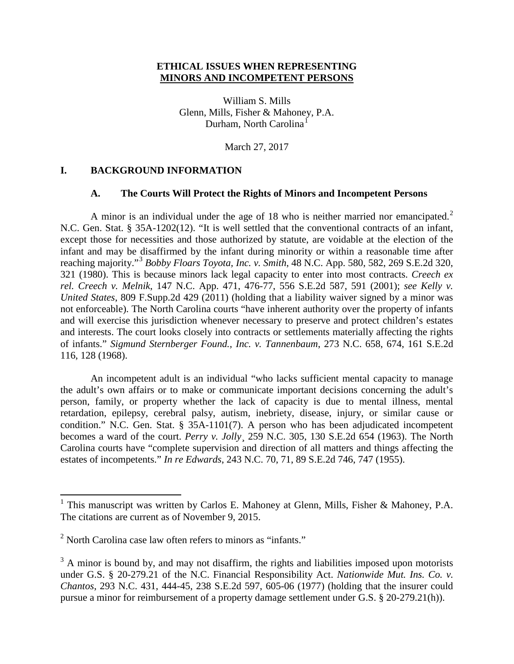## **ETHICAL ISSUES WHEN REPRESENTING MINORS AND INCOMPETENT PERSONS**

William S. Mills Glenn, Mills, Fisher & Mahoney, P.A. Durham, North Carolina<sup>[1](#page-0-0)</sup>

March 27, 2017

### **I. BACKGROUND INFORMATION**

### **A. The Courts Will Protect the Rights of Minors and Incompetent Persons**

A minor is an individual under the age of 18 who is neither married nor emancipated.<sup>[2](#page-0-1)</sup> N.C. Gen. Stat. § 35A-1202(12). "It is well settled that the conventional contracts of an infant, except those for necessities and those authorized by statute, are voidable at the election of the infant and may be disaffirmed by the infant during minority or within a reasonable time after reaching majority."[3](#page-0-2) *Bobby Floars Toyota, Inc. v. Smith*, 48 N.C. App. 580, 582, 269 S.E.2d 320, 321 (1980). This is because minors lack legal capacity to enter into most contracts. *Creech ex rel. Creech v. Melnik*, 147 N.C. App. 471, 476-77, 556 S.E.2d 587, 591 (2001); *see Kelly v. United States*, 809 F.Supp.2d 429 (2011) (holding that a liability waiver signed by a minor was not enforceable). The North Carolina courts "have inherent authority over the property of infants and will exercise this jurisdiction whenever necessary to preserve and protect children's estates and interests. The court looks closely into contracts or settlements materially affecting the rights of infants." *Sigmund Sternberger Found., Inc. v. Tannenbaum*, 273 N.C. 658, 674, 161 S.E.2d 116, 128 (1968).

An incompetent adult is an individual "who lacks sufficient mental capacity to manage the adult's own affairs or to make or communicate important decisions concerning the adult's person, family, or property whether the lack of capacity is due to mental illness, mental retardation, epilepsy, cerebral palsy, autism, inebriety, disease, injury, or similar cause or condition." N.C. Gen. Stat. § 35A-1101(7). A person who has been adjudicated incompetent becomes a ward of the court. *Perry v. Jolly*¸ 259 N.C. 305, 130 S.E.2d 654 (1963). The North Carolina courts have "complete supervision and direction of all matters and things affecting the estates of incompetents." *In re Edwards*, 243 N.C. 70, 71, 89 S.E.2d 746, 747 (1955).

<span id="page-0-0"></span><sup>&</sup>lt;sup>1</sup> This manuscript was written by Carlos E. Mahoney at Glenn, Mills, Fisher & Mahoney, P.A. The citations are current as of November 9, 2015.

<span id="page-0-1"></span> $2$  North Carolina case law often refers to minors as "infants."

<span id="page-0-2"></span> $3 \text{ A minor is bound by, and may not disaffirm, the rights and liabilities imposed upon motorists}$ under G.S. § 20-279.21 of the N.C. Financial Responsibility Act. *Nationwide Mut. Ins. Co. v. Chantos*, 293 N.C. 431, 444-45, 238 S.E.2d 597, 605-06 (1977) (holding that the insurer could pursue a minor for reimbursement of a property damage settlement under G.S. § 20-279.21(h)).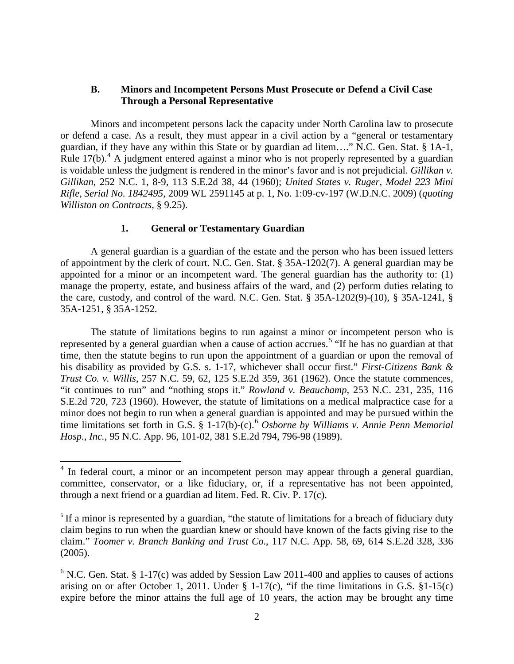### **B. Minors and Incompetent Persons Must Prosecute or Defend a Civil Case Through a Personal Representative**

Minors and incompetent persons lack the capacity under North Carolina law to prosecute or defend a case. As a result, they must appear in a civil action by a "general or testamentary guardian, if they have any within this State or by guardian ad litem…." N.C. Gen. Stat. § 1A-1, Rule  $17(b)$ .<sup>[4](#page-1-0)</sup> A judgment entered against a minor who is not properly represented by a guardian is voidable unless the judgment is rendered in the minor's favor and is not prejudicial. *Gillikan v. Gillikan*, 252 N.C. 1, 8-9, 113 S.E.2d 38, 44 (1960); *United States v. Ruger, Model 223 Mini Rifle, Serial No. 1842495*, 2009 WL 2591145 at p. 1, No. 1:09-cv-197 (W.D.N.C. 2009) (*quoting Williston on Contracts*, § 9.25).

#### **1. General or Testamentary Guardian**

A general guardian is a guardian of the estate and the person who has been issued letters of appointment by the clerk of court. N.C. Gen. Stat. § 35A-1202(7). A general guardian may be appointed for a minor or an incompetent ward. The general guardian has the authority to: (1) manage the property, estate, and business affairs of the ward, and (2) perform duties relating to the care, custody, and control of the ward. N.C. Gen. Stat. § 35A-1202(9)-(10), § 35A-1241, § 35A-1251, § 35A-1252.

The statute of limitations begins to run against a minor or incompetent person who is represented by a general guardian when a cause of action accrues.<sup>[5](#page-1-1)</sup> "If he has no guardian at that time, then the statute begins to run upon the appointment of a guardian or upon the removal of his disability as provided by G.S. s. 1-17, whichever shall occur first." *First-Citizens Bank & Trust Co. v. Willis*, 257 N.C. 59, 62, 125 S.E.2d 359, 361 (1962). Once the statute commences, "it continues to run" and "nothing stops it." *Rowland v. Beauchamp*, 253 N.C. 231, 235, 116 S.E.2d 720, 723 (1960). However, the statute of limitations on a medical malpractice case for a minor does not begin to run when a general guardian is appointed and may be pursued within the time limitations set forth in G.S. § 1-17(b)-(c). [6](#page-1-2) *Osborne by Williams v. Annie Penn Memorial Hosp., Inc.*, 95 N.C. App. 96, 101-02, 381 S.E.2d 794, 796-98 (1989).

<span id="page-1-0"></span><sup>&</sup>lt;sup>4</sup> In federal court, a minor or an incompetent person may appear through a general guardian, committee, conservator, or a like fiduciary, or, if a representative has not been appointed, through a next friend or a guardian ad litem. Fed. R. Civ. P. 17(c).

<span id="page-1-1"></span><sup>&</sup>lt;sup>5</sup> If a minor is represented by a guardian, "the statute of limitations for a breach of fiduciary duty claim begins to run when the guardian knew or should have known of the facts giving rise to the claim." *Toomer v. Branch Banking and Trust Co.*, 117 N.C. App. 58, 69, 614 S.E.2d 328, 336 (2005).

<span id="page-1-2"></span> $6$  N.C. Gen. Stat. § 1-17(c) was added by Session Law 2011-400 and applies to causes of actions arising on or after October 1, 2011. Under  $\S$  1-17(c), "if the time limitations in G.S.  $\S$ 1-15(c) expire before the minor attains the full age of 10 years, the action may be brought any time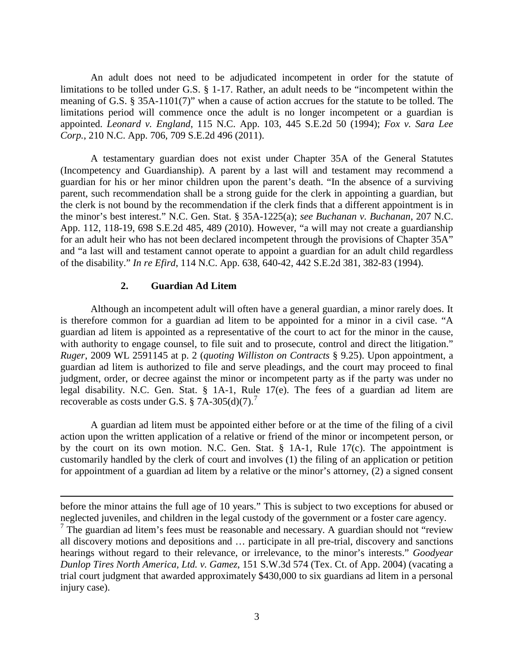An adult does not need to be adjudicated incompetent in order for the statute of limitations to be tolled under G.S. § 1-17. Rather, an adult needs to be "incompetent within the meaning of G.S. § 35A-1101(7)" when a cause of action accrues for the statute to be tolled. The limitations period will commence once the adult is no longer incompetent or a guardian is appointed. *Leonard v. England*, 115 N.C. App. 103, 445 S.E.2d 50 (1994); *Fox v. Sara Lee Corp.*, 210 N.C. App. 706, 709 S.E.2d 496 (2011).

A testamentary guardian does not exist under Chapter 35A of the General Statutes (Incompetency and Guardianship). A parent by a last will and testament may recommend a guardian for his or her minor children upon the parent's death. "In the absence of a surviving parent, such recommendation shall be a strong guide for the clerk in appointing a guardian, but the clerk is not bound by the recommendation if the clerk finds that a different appointment is in the minor's best interest." N.C. Gen. Stat. § 35A-1225(a); *see Buchanan v. Buchanan*, 207 N.C. App. 112, 118-19, 698 S.E.2d 485, 489 (2010). However, "a will may not create a guardianship for an adult heir who has not been declared incompetent through the provisions of Chapter 35A" and "a last will and testament cannot operate to appoint a guardian for an adult child regardless of the disability." *In re Efird*, 114 N.C. App. 638, 640-42, 442 S.E.2d 381, 382-83 (1994).

#### **2. Guardian Ad Litem**

 $\overline{\phantom{a}}$ 

Although an incompetent adult will often have a general guardian, a minor rarely does. It is therefore common for a guardian ad litem to be appointed for a minor in a civil case. "A guardian ad litem is appointed as a representative of the court to act for the minor in the cause, with authority to engage counsel, to file suit and to prosecute, control and direct the litigation." *Ruger*, 2009 WL 2591145 at p. 2 (*quoting Williston on Contracts* § 9.25). Upon appointment, a guardian ad litem is authorized to file and serve pleadings, and the court may proceed to final judgment, order, or decree against the minor or incompetent party as if the party was under no legal disability. N.C. Gen. Stat. § 1A-1, Rule 17(e). The fees of a guardian ad litem are recoverable as costs under G.S. § [7](#page-2-0)A-305(d)(7).<sup>7</sup>

A guardian ad litem must be appointed either before or at the time of the filing of a civil action upon the written application of a relative or friend of the minor or incompetent person, or by the court on its own motion. N.C. Gen. Stat. § 1A-1, Rule 17(c). The appointment is customarily handled by the clerk of court and involves (1) the filing of an application or petition for appointment of a guardian ad litem by a relative or the minor's attorney, (2) a signed consent

before the minor attains the full age of 10 years." This is subject to two exceptions for abused or neglected juveniles, and children in the legal custody of the government or a foster care agency.

<span id="page-2-0"></span> $7$  The guardian ad litem's fees must be reasonable and necessary. A guardian should not "review" all discovery motions and depositions and … participate in all pre-trial, discovery and sanctions hearings without regard to their relevance, or irrelevance, to the minor's interests." *Goodyear Dunlop Tires North America, Ltd. v. Gamez*, 151 S.W.3d 574 (Tex. Ct. of App. 2004) (vacating a trial court judgment that awarded approximately \$430,000 to six guardians ad litem in a personal injury case).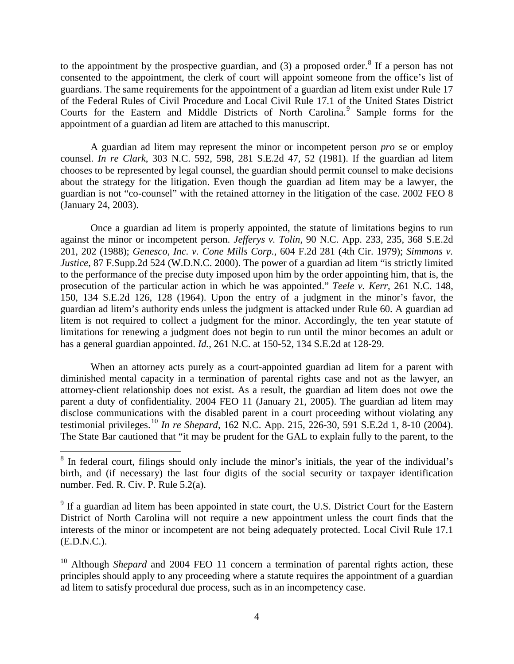to the appointment by the prospective guardian, and  $(3)$  a proposed order.<sup>[8](#page-3-0)</sup> If a person has not consented to the appointment, the clerk of court will appoint someone from the office's list of guardians. The same requirements for the appointment of a guardian ad litem exist under Rule 17 of the Federal Rules of Civil Procedure and Local Civil Rule 17.1 of the United States District Courts for the Eastern and Middle Districts of North Carolina.<sup>[9](#page-3-1)</sup> Sample forms for the appointment of a guardian ad litem are attached to this manuscript.

A guardian ad litem may represent the minor or incompetent person *pro se* or employ counsel. *In re Clark*, 303 N.C. 592, 598, 281 S.E.2d 47, 52 (1981). If the guardian ad litem chooses to be represented by legal counsel, the guardian should permit counsel to make decisions about the strategy for the litigation. Even though the guardian ad litem may be a lawyer, the guardian is not "co-counsel" with the retained attorney in the litigation of the case. 2002 FEO 8 (January 24, 2003).

Once a guardian ad litem is properly appointed, the statute of limitations begins to run against the minor or incompetent person. *Jefferys v. Tolin*, 90 N.C. App. 233, 235, 368 S.E.2d 201, 202 (1988); *Genesco, Inc. v. Cone Mills Corp.*, 604 F.2d 281 (4th Cir. 1979); *Simmons v. Justice*, 87 F.Supp.2d 524 (W.D.N.C. 2000). The power of a guardian ad litem "is strictly limited to the performance of the precise duty imposed upon him by the order appointing him, that is, the prosecution of the particular action in which he was appointed." *Teele v. Kerr*, 261 N.C. 148, 150, 134 S.E.2d 126, 128 (1964). Upon the entry of a judgment in the minor's favor, the guardian ad litem's authority ends unless the judgment is attacked under Rule 60. A guardian ad litem is not required to collect a judgment for the minor. Accordingly, the ten year statute of limitations for renewing a judgment does not begin to run until the minor becomes an adult or has a general guardian appointed. *Id.*, 261 N.C. at 150-52, 134 S.E.2d at 128-29.

When an attorney acts purely as a court-appointed guardian ad litem for a parent with diminished mental capacity in a termination of parental rights case and not as the lawyer, an attorney-client relationship does not exist. As a result, the guardian ad litem does not owe the parent a duty of confidentiality. 2004 FEO 11 (January 21, 2005). The guardian ad litem may disclose communications with the disabled parent in a court proceeding without violating any testimonial privileges. [10](#page-3-2) *In re Shepard*, 162 N.C. App. 215, 226-30, 591 S.E.2d 1, 8-10 (2004). The State Bar cautioned that "it may be prudent for the GAL to explain fully to the parent, to the

<span id="page-3-0"></span><sup>&</sup>lt;sup>8</sup> In federal court, filings should only include the minor's initials, the year of the individual's birth, and (if necessary) the last four digits of the social security or taxpayer identification number. Fed. R. Civ. P. Rule 5.2(a).

<span id="page-3-1"></span> $9<sup>9</sup>$  If a guardian ad litem has been appointed in state court, the U.S. District Court for the Eastern District of North Carolina will not require a new appointment unless the court finds that the interests of the minor or incompetent are not being adequately protected. Local Civil Rule 17.1 (E.D.N.C.).

<span id="page-3-2"></span><sup>&</sup>lt;sup>10</sup> Although *Shepard* and 2004 FEO 11 concern a termination of parental rights action, these principles should apply to any proceeding where a statute requires the appointment of a guardian ad litem to satisfy procedural due process, such as in an incompetency case.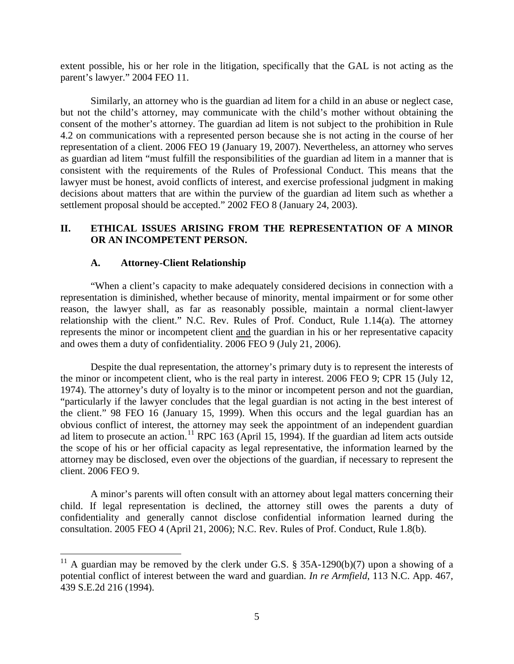extent possible, his or her role in the litigation, specifically that the GAL is not acting as the parent's lawyer." 2004 FEO 11.

Similarly, an attorney who is the guardian ad litem for a child in an abuse or neglect case, but not the child's attorney, may communicate with the child's mother without obtaining the consent of the mother's attorney. The guardian ad litem is not subject to the prohibition in Rule 4.2 on communications with a represented person because she is not acting in the course of her representation of a client. 2006 FEO 19 (January 19, 2007). Nevertheless, an attorney who serves as guardian ad litem "must fulfill the responsibilities of the guardian ad litem in a manner that is consistent with the requirements of the Rules of Professional Conduct. This means that the lawyer must be honest, avoid conflicts of interest, and exercise professional judgment in making decisions about matters that are within the purview of the guardian ad litem such as whether a settlement proposal should be accepted." 2002 FEO 8 (January 24, 2003).

# **II. ETHICAL ISSUES ARISING FROM THE REPRESENTATION OF A MINOR OR AN INCOMPETENT PERSON.**

## **A. Attorney-Client Relationship**

"When a client's capacity to make adequately considered decisions in connection with a representation is diminished, whether because of minority, mental impairment or for some other reason, the lawyer shall, as far as reasonably possible, maintain a normal client-lawyer relationship with the client." N.C. Rev. Rules of Prof. Conduct, Rule 1.14(a). The attorney represents the minor or incompetent client and the guardian in his or her representative capacity and owes them a duty of confidentiality. 2006 FEO 9 (July 21, 2006).

Despite the dual representation, the attorney's primary duty is to represent the interests of the minor or incompetent client, who is the real party in interest. 2006 FEO 9; CPR 15 (July 12, 1974). The attorney's duty of loyalty is to the minor or incompetent person and not the guardian, "particularly if the lawyer concludes that the legal guardian is not acting in the best interest of the client." 98 FEO 16 (January 15, 1999). When this occurs and the legal guardian has an obvious conflict of interest, the attorney may seek the appointment of an independent guardian ad litem to prosecute an action.<sup>[11](#page-4-0)</sup> RPC 163 (April 15, 1994). If the guardian ad litem acts outside the scope of his or her official capacity as legal representative, the information learned by the attorney may be disclosed, even over the objections of the guardian, if necessary to represent the client. 2006 FEO 9.

A minor's parents will often consult with an attorney about legal matters concerning their child. If legal representation is declined, the attorney still owes the parents a duty of confidentiality and generally cannot disclose confidential information learned during the consultation. 2005 FEO 4 (April 21, 2006); N.C. Rev. Rules of Prof. Conduct, Rule 1.8(b).

<span id="page-4-0"></span><sup>&</sup>lt;sup>11</sup> A guardian may be removed by the clerk under G.S. § 35A-1290(b)(7) upon a showing of a potential conflict of interest between the ward and guardian. *In re Armfield*, 113 N.C. App. 467, 439 S.E.2d 216 (1994).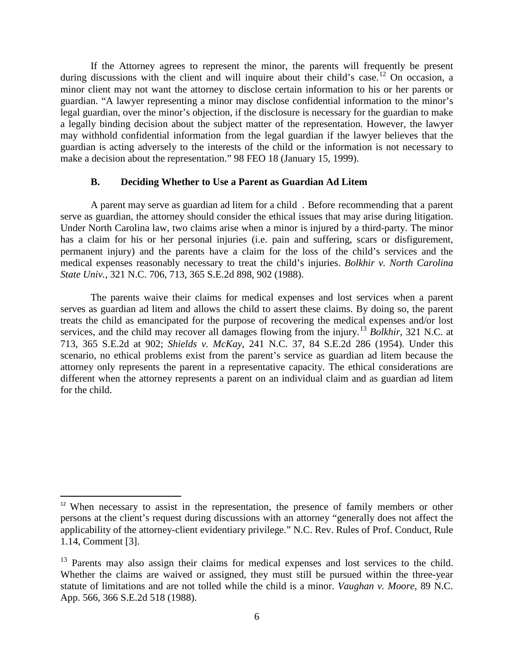If the Attorney agrees to represent the minor, the parents will frequently be present during discussions with the client and will inquire about their child's case.<sup>[12](#page-5-0)</sup> On occasion, a minor client may not want the attorney to disclose certain information to his or her parents or guardian. "A lawyer representing a minor may disclose confidential information to the minor's legal guardian, over the minor's objection, if the disclosure is necessary for the guardian to make a legally binding decision about the subject matter of the representation. However, the lawyer may withhold confidential information from the legal guardian if the lawyer believes that the guardian is acting adversely to the interests of the child or the information is not necessary to make a decision about the representation." 98 FEO 18 (January 15, 1999).

#### **B. Deciding Whether to Use a Parent as Guardian Ad Litem**

A parent may serve as guardian ad litem for a child . Before recommending that a parent serve as guardian, the attorney should consider the ethical issues that may arise during litigation. Under North Carolina law, two claims arise when a minor is injured by a third-party. The minor has a claim for his or her personal injuries (i.e. pain and suffering, scars or disfigurement, permanent injury) and the parents have a claim for the loss of the child's services and the medical expenses reasonably necessary to treat the child's injuries. *Bolkhir v. North Carolina State Univ.*, 321 N.C. 706, 713, 365 S.E.2d 898, 902 (1988).

The parents waive their claims for medical expenses and lost services when a parent serves as guardian ad litem and allows the child to assert these claims. By doing so, the parent treats the child as emancipated for the purpose of recovering the medical expenses and/or lost services, and the child may recover all damages flowing from the injury.[13](#page-5-1) *Bolkhir*, 321 N.C. at 713, 365 S.E.2d at 902; *Shields v. McKay*, 241 N.C. 37, 84 S.E.2d 286 (1954). Under this scenario, no ethical problems exist from the parent's service as guardian ad litem because the attorney only represents the parent in a representative capacity. The ethical considerations are different when the attorney represents a parent on an individual claim and as guardian ad litem for the child.

<span id="page-5-0"></span> $12$  When necessary to assist in the representation, the presence of family members or other persons at the client's request during discussions with an attorney "generally does not affect the applicability of the attorney-client evidentiary privilege." N.C. Rev. Rules of Prof. Conduct, Rule 1.14, Comment [3].

<span id="page-5-1"></span><sup>&</sup>lt;sup>13</sup> Parents may also assign their claims for medical expenses and lost services to the child. Whether the claims are waived or assigned, they must still be pursued within the three-year statute of limitations and are not tolled while the child is a minor. *Vaughan v. Moore*, 89 N.C. App. 566, 366 S.E.2d 518 (1988).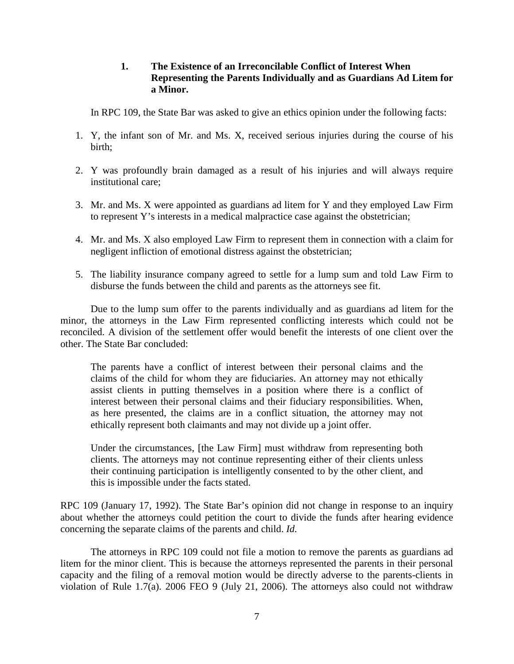## **1. The Existence of an Irreconcilable Conflict of Interest When Representing the Parents Individually and as Guardians Ad Litem for a Minor.**

In RPC 109, the State Bar was asked to give an ethics opinion under the following facts:

- 1. Y, the infant son of Mr. and Ms. X, received serious injuries during the course of his birth;
- 2. Y was profoundly brain damaged as a result of his injuries and will always require institutional care;
- 3. Mr. and Ms. X were appointed as guardians ad litem for Y and they employed Law Firm to represent Y's interests in a medical malpractice case against the obstetrician;
- 4. Mr. and Ms. X also employed Law Firm to represent them in connection with a claim for negligent infliction of emotional distress against the obstetrician;
- 5. The liability insurance company agreed to settle for a lump sum and told Law Firm to disburse the funds between the child and parents as the attorneys see fit.

Due to the lump sum offer to the parents individually and as guardians ad litem for the minor, the attorneys in the Law Firm represented conflicting interests which could not be reconciled. A division of the settlement offer would benefit the interests of one client over the other. The State Bar concluded:

The parents have a conflict of interest between their personal claims and the claims of the child for whom they are fiduciaries. An attorney may not ethically assist clients in putting themselves in a position where there is a conflict of interest between their personal claims and their fiduciary responsibilities. When, as here presented, the claims are in a conflict situation, the attorney may not ethically represent both claimants and may not divide up a joint offer.

Under the circumstances, [the Law Firm] must withdraw from representing both clients. The attorneys may not continue representing either of their clients unless their continuing participation is intelligently consented to by the other client, and this is impossible under the facts stated.

RPC 109 (January 17, 1992). The State Bar's opinion did not change in response to an inquiry about whether the attorneys could petition the court to divide the funds after hearing evidence concerning the separate claims of the parents and child. *Id.*

The attorneys in RPC 109 could not file a motion to remove the parents as guardians ad litem for the minor client. This is because the attorneys represented the parents in their personal capacity and the filing of a removal motion would be directly adverse to the parents-clients in violation of Rule 1.7(a). 2006 FEO 9 (July 21, 2006). The attorneys also could not withdraw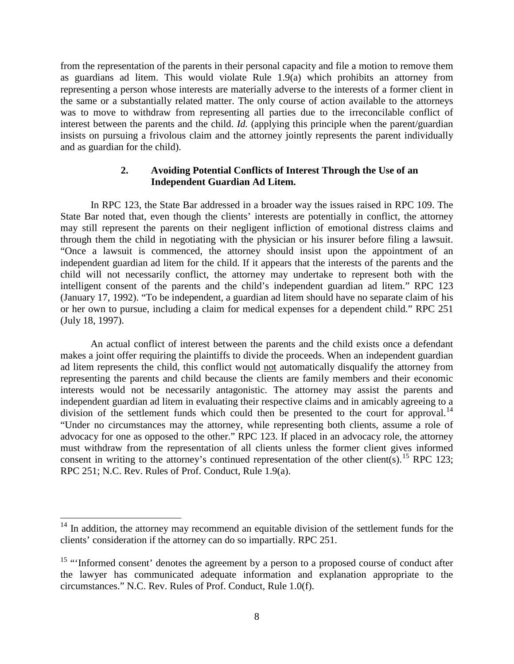from the representation of the parents in their personal capacity and file a motion to remove them as guardians ad litem. This would violate Rule 1.9(a) which prohibits an attorney from representing a person whose interests are materially adverse to the interests of a former client in the same or a substantially related matter. The only course of action available to the attorneys was to move to withdraw from representing all parties due to the irreconcilable conflict of interest between the parents and the child. *Id.* (applying this principle when the parent/guardian insists on pursuing a frivolous claim and the attorney jointly represents the parent individually and as guardian for the child).

## **2. Avoiding Potential Conflicts of Interest Through the Use of an Independent Guardian Ad Litem.**

In RPC 123, the State Bar addressed in a broader way the issues raised in RPC 109. The State Bar noted that, even though the clients' interests are potentially in conflict, the attorney may still represent the parents on their negligent infliction of emotional distress claims and through them the child in negotiating with the physician or his insurer before filing a lawsuit. "Once a lawsuit is commenced, the attorney should insist upon the appointment of an independent guardian ad litem for the child. If it appears that the interests of the parents and the child will not necessarily conflict, the attorney may undertake to represent both with the intelligent consent of the parents and the child's independent guardian ad litem." RPC 123 (January 17, 1992). "To be independent, a guardian ad litem should have no separate claim of his or her own to pursue, including a claim for medical expenses for a dependent child." RPC 251 (July 18, 1997).

An actual conflict of interest between the parents and the child exists once a defendant makes a joint offer requiring the plaintiffs to divide the proceeds. When an independent guardian ad litem represents the child, this conflict would not automatically disqualify the attorney from representing the parents and child because the clients are family members and their economic interests would not be necessarily antagonistic. The attorney may assist the parents and independent guardian ad litem in evaluating their respective claims and in amicably agreeing to a division of the settlement funds which could then be presented to the court for approval.<sup>[14](#page-7-0)</sup> "Under no circumstances may the attorney, while representing both clients, assume a role of advocacy for one as opposed to the other." RPC 123. If placed in an advocacy role, the attorney must withdraw from the representation of all clients unless the former client gives informed consent in writing to the attorney's continued representation of the other client(s).<sup>[15](#page-7-1)</sup> RPC 123; RPC 251; N.C. Rev. Rules of Prof. Conduct, Rule 1.9(a).

<span id="page-7-0"></span><sup>&</sup>lt;sup>14</sup> In addition, the attorney may recommend an equitable division of the settlement funds for the clients' consideration if the attorney can do so impartially. RPC 251.

<span id="page-7-1"></span><sup>&</sup>lt;sup>15</sup> "Informed consent' denotes the agreement by a person to a proposed course of conduct after the lawyer has communicated adequate information and explanation appropriate to the circumstances." N.C. Rev. Rules of Prof. Conduct, Rule 1.0(f).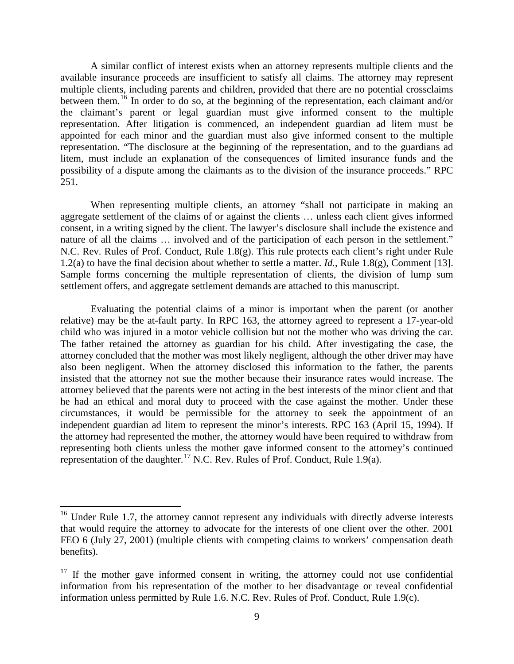A similar conflict of interest exists when an attorney represents multiple clients and the available insurance proceeds are insufficient to satisfy all claims. The attorney may represent multiple clients, including parents and children, provided that there are no potential crossclaims between them.<sup>[16](#page-8-0)</sup> In order to do so, at the beginning of the representation, each claimant and/or the claimant's parent or legal guardian must give informed consent to the multiple representation. After litigation is commenced, an independent guardian ad litem must be appointed for each minor and the guardian must also give informed consent to the multiple representation. "The disclosure at the beginning of the representation, and to the guardians ad litem, must include an explanation of the consequences of limited insurance funds and the possibility of a dispute among the claimants as to the division of the insurance proceeds." RPC 251.

When representing multiple clients, an attorney "shall not participate in making an aggregate settlement of the claims of or against the clients … unless each client gives informed consent, in a writing signed by the client. The lawyer's disclosure shall include the existence and nature of all the claims … involved and of the participation of each person in the settlement." N.C. Rev. Rules of Prof. Conduct, Rule 1.8(g). This rule protects each client's right under Rule 1.2(a) to have the final decision about whether to settle a matter. *Id.*, Rule 1.8(g), Comment [13]. Sample forms concerning the multiple representation of clients, the division of lump sum settlement offers, and aggregate settlement demands are attached to this manuscript.

Evaluating the potential claims of a minor is important when the parent (or another relative) may be the at-fault party. In RPC 163, the attorney agreed to represent a 17-year-old child who was injured in a motor vehicle collision but not the mother who was driving the car. The father retained the attorney as guardian for his child. After investigating the case, the attorney concluded that the mother was most likely negligent, although the other driver may have also been negligent. When the attorney disclosed this information to the father, the parents insisted that the attorney not sue the mother because their insurance rates would increase. The attorney believed that the parents were not acting in the best interests of the minor client and that he had an ethical and moral duty to proceed with the case against the mother. Under these circumstances, it would be permissible for the attorney to seek the appointment of an independent guardian ad litem to represent the minor's interests. RPC 163 (April 15, 1994). If the attorney had represented the mother, the attorney would have been required to withdraw from representing both clients unless the mother gave informed consent to the attorney's continued representation of the daughter.<sup>[17](#page-8-1)</sup> N.C. Rev. Rules of Prof. Conduct, Rule 1.9(a).

<span id="page-8-0"></span><sup>&</sup>lt;sup>16</sup> Under Rule 1.7, the attorney cannot represent any individuals with directly adverse interests that would require the attorney to advocate for the interests of one client over the other. 2001 FEO 6 (July 27, 2001) (multiple clients with competing claims to workers' compensation death benefits).

<span id="page-8-1"></span> $17$  If the mother gave informed consent in writing, the attorney could not use confidential information from his representation of the mother to her disadvantage or reveal confidential information unless permitted by Rule 1.6. N.C. Rev. Rules of Prof. Conduct, Rule 1.9(c).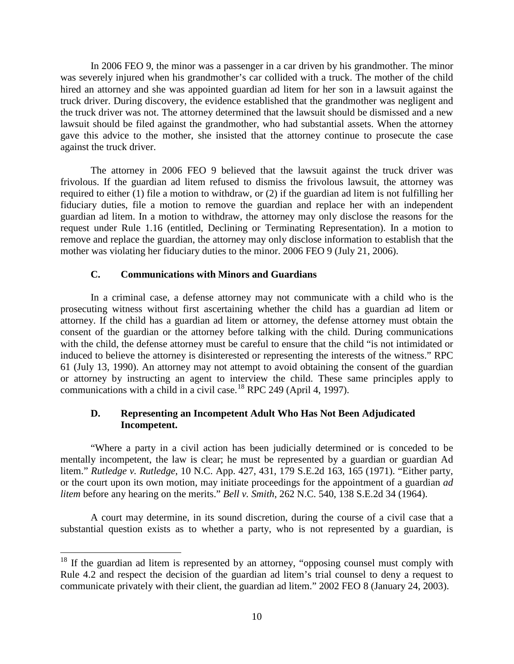In 2006 FEO 9, the minor was a passenger in a car driven by his grandmother. The minor was severely injured when his grandmother's car collided with a truck. The mother of the child hired an attorney and she was appointed guardian ad litem for her son in a lawsuit against the truck driver. During discovery, the evidence established that the grandmother was negligent and the truck driver was not. The attorney determined that the lawsuit should be dismissed and a new lawsuit should be filed against the grandmother, who had substantial assets. When the attorney gave this advice to the mother, she insisted that the attorney continue to prosecute the case against the truck driver.

The attorney in 2006 FEO 9 believed that the lawsuit against the truck driver was frivolous. If the guardian ad litem refused to dismiss the frivolous lawsuit, the attorney was required to either (1) file a motion to withdraw, or (2) if the guardian ad litem is not fulfilling her fiduciary duties, file a motion to remove the guardian and replace her with an independent guardian ad litem. In a motion to withdraw, the attorney may only disclose the reasons for the request under Rule 1.16 (entitled, Declining or Terminating Representation). In a motion to remove and replace the guardian, the attorney may only disclose information to establish that the mother was violating her fiduciary duties to the minor. 2006 FEO 9 (July 21, 2006).

## **C. Communications with Minors and Guardians**

In a criminal case, a defense attorney may not communicate with a child who is the prosecuting witness without first ascertaining whether the child has a guardian ad litem or attorney. If the child has a guardian ad litem or attorney, the defense attorney must obtain the consent of the guardian or the attorney before talking with the child. During communications with the child, the defense attorney must be careful to ensure that the child "is not intimidated or induced to believe the attorney is disinterested or representing the interests of the witness." RPC 61 (July 13, 1990). An attorney may not attempt to avoid obtaining the consent of the guardian or attorney by instructing an agent to interview the child. These same principles apply to communications with a child in a civil case.<sup>[18](#page-9-0)</sup> RPC 249 (April 4, 1997).

# **D. Representing an Incompetent Adult Who Has Not Been Adjudicated Incompetent.**

"Where a party in a civil action has been judicially determined or is conceded to be mentally incompetent, the law is clear; he must be represented by a guardian or guardian Ad litem." *Rutledge v. Rutledge*, 10 N.C. App. 427, 431, 179 S.E.2d 163, 165 (1971). "Either party, or the court upon its own motion, may initiate proceedings for the appointment of a guardian *ad litem* before any hearing on the merits." *Bell v. Smith*, 262 N.C. 540, 138 S.E.2d 34 (1964).

A court may determine, in its sound discretion, during the course of a civil case that a substantial question exists as to whether a party, who is not represented by a guardian, is

<span id="page-9-0"></span><sup>&</sup>lt;sup>18</sup> If the guardian ad litem is represented by an attorney, "opposing counsel must comply with Rule 4.2 and respect the decision of the guardian ad litem's trial counsel to deny a request to communicate privately with their client, the guardian ad litem." 2002 FEO 8 (January 24, 2003).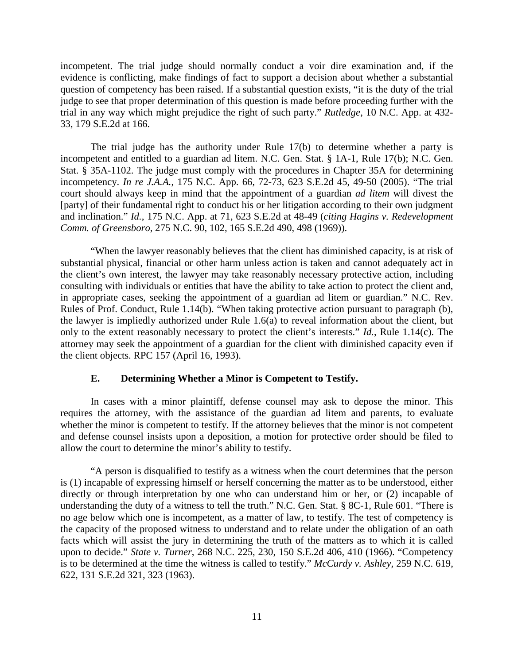incompetent. The trial judge should normally conduct a voir dire examination and, if the evidence is conflicting, make findings of fact to support a decision about whether a substantial question of competency has been raised. If a substantial question exists, "it is the duty of the trial judge to see that proper determination of this question is made before proceeding further with the trial in any way which might prejudice the right of such party." *Rutledge*, 10 N.C. App. at 432- 33, 179 S.E.2d at 166.

The trial judge has the authority under Rule 17(b) to determine whether a party is incompetent and entitled to a guardian ad litem. N.C. Gen. Stat. § 1A-1, Rule 17(b); N.C. Gen. Stat. § 35A-1102. The judge must comply with the procedures in Chapter 35A for determining incompetency. *In re J.A.A.*, 175 N.C. App. 66, 72-73, 623 S.E.2d 45, 49-50 (2005). "The trial court should always keep in mind that the appointment of a guardian *ad litem* will divest the [party] of their fundamental right to conduct his or her litigation according to their own judgment and inclination." *Id.*, 175 N.C. App. at 71, 623 S.E.2d at 48-49 (*citing Hagins v. Redevelopment Comm. of Greensboro*, 275 N.C. 90, 102, 165 S.E.2d 490, 498 (1969)).

"When the lawyer reasonably believes that the client has diminished capacity, is at risk of substantial physical, financial or other harm unless action is taken and cannot adequately act in the client's own interest, the lawyer may take reasonably necessary protective action, including consulting with individuals or entities that have the ability to take action to protect the client and, in appropriate cases, seeking the appointment of a guardian ad litem or guardian." N.C. Rev. Rules of Prof. Conduct, Rule 1.14(b). "When taking protective action pursuant to paragraph (b), the lawyer is impliedly authorized under Rule 1.6(a) to reveal information about the client, but only to the extent reasonably necessary to protect the client's interests." *Id.*, Rule 1.14(c). The attorney may seek the appointment of a guardian for the client with diminished capacity even if the client objects. RPC 157 (April 16, 1993).

## **E. Determining Whether a Minor is Competent to Testify.**

In cases with a minor plaintiff, defense counsel may ask to depose the minor. This requires the attorney, with the assistance of the guardian ad litem and parents, to evaluate whether the minor is competent to testify. If the attorney believes that the minor is not competent and defense counsel insists upon a deposition, a motion for protective order should be filed to allow the court to determine the minor's ability to testify.

"A person is disqualified to testify as a witness when the court determines that the person is (1) incapable of expressing himself or herself concerning the matter as to be understood, either directly or through interpretation by one who can understand him or her, or (2) incapable of understanding the duty of a witness to tell the truth." N.C. Gen. Stat. § 8C-1, Rule 601. "There is no age below which one is incompetent, as a matter of law, to testify. The test of competency is the capacity of the proposed witness to understand and to relate under the obligation of an oath facts which will assist the jury in determining the truth of the matters as to which it is called upon to decide." *State v. Turner*, 268 N.C. 225, 230, 150 S.E.2d 406, 410 (1966). "Competency is to be determined at the time the witness is called to testify." *McCurdy v. Ashley*, 259 N.C. 619, 622, 131 S.E.2d 321, 323 (1963).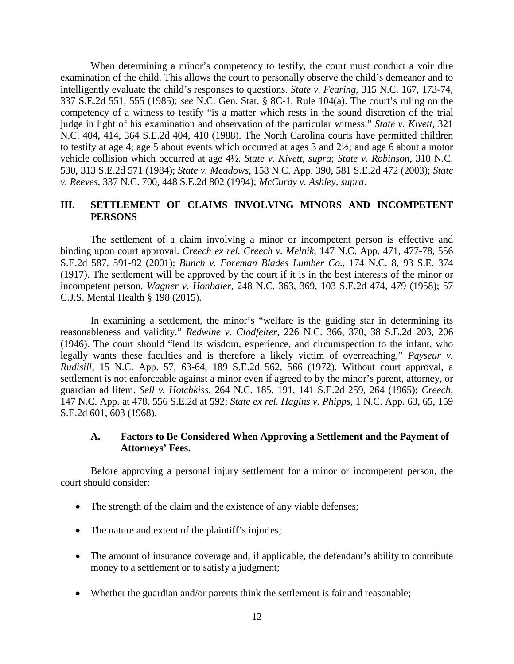When determining a minor's competency to testify, the court must conduct a voir dire examination of the child. This allows the court to personally observe the child's demeanor and to intelligently evaluate the child's responses to questions. *State v. Fearing*, 315 N.C. 167, 173-74, 337 S.E.2d 551, 555 (1985); *see* N.C. Gen. Stat. § 8C-1, Rule 104(a). The court's ruling on the competency of a witness to testify "is a matter which rests in the sound discretion of the trial judge in light of his examination and observation of the particular witness." *State v. Kivett*, 321 N.C. 404, 414, 364 S.E.2d 404, 410 (1988). The North Carolina courts have permitted children to testify at age 4; age 5 about events which occurred at ages 3 and 2½; and age 6 about a motor vehicle collision which occurred at age 4½. *State v. Kivett, supra*; *State v. Robinson*, 310 N.C. 530, 313 S.E.2d 571 (1984); *State v. Meadows*, 158 N.C. App. 390, 581 S.E.2d 472 (2003); *State v. Reeves*, 337 N.C. 700, 448 S.E.2d 802 (1994); *McCurdy v. Ashley, supra*.

## **III. SETTLEMENT OF CLAIMS INVOLVING MINORS AND INCOMPETENT PERSONS**

The settlement of a claim involving a minor or incompetent person is effective and binding upon court approval. *Creech ex rel. Creech v. Melnik*, 147 N.C. App. 471, 477-78, 556 S.E.2d 587, 591-92 (2001); *Bunch v. Foreman Blades Lumber Co.*, 174 N.C. 8, 93 S.E. 374 (1917). The settlement will be approved by the court if it is in the best interests of the minor or incompetent person. *Wagner v. Honbaier*, 248 N.C. 363, 369, 103 S.E.2d 474, 479 (1958); 57 C.J.S. Mental Health § 198 (2015).

In examining a settlement, the minor's "welfare is the guiding star in determining its reasonableness and validity." *Redwine v. Clodfelter*, 226 N.C. 366, 370, 38 S.E.2d 203, 206 (1946). The court should "lend its wisdom, experience, and circumspection to the infant, who legally wants these faculties and is therefore a likely victim of overreaching." *Payseur v. Rudisill*, 15 N.C. App. 57, 63-64, 189 S.E.2d 562, 566 (1972). Without court approval, a settlement is not enforceable against a minor even if agreed to by the minor's parent, attorney, or guardian ad litem. *Sell v. Hotchkiss*, 264 N.C. 185, 191, 141 S.E.2d 259, 264 (1965); *Creech*, 147 N.C. App. at 478, 556 S.E.2d at 592; *State ex rel. Hagins v. Phipps*, 1 N.C. App. 63, 65, 159 S.E.2d 601, 603 (1968).

### **A. Factors to Be Considered When Approving a Settlement and the Payment of Attorneys' Fees.**

Before approving a personal injury settlement for a minor or incompetent person, the court should consider:

- The strength of the claim and the existence of any viable defenses;
- The nature and extent of the plaintiff's injuries;
- The amount of insurance coverage and, if applicable, the defendant's ability to contribute money to a settlement or to satisfy a judgment;
- Whether the guardian and/or parents think the settlement is fair and reasonable;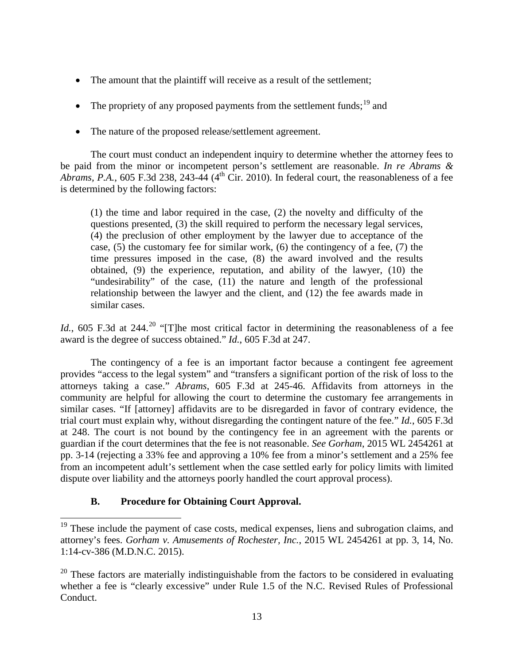- The amount that the plaintiff will receive as a result of the settlement;
- The propriety of any proposed payments from the settlement funds;  $19$  and
- The nature of the proposed release/settlement agreement.

The court must conduct an independent inquiry to determine whether the attorney fees to be paid from the minor or incompetent person's settlement are reasonable. *In re Abrams & Abrams, P.A.*, 605 F.3d 238, 243-44 (4<sup>th</sup> Cir. 2010). In federal court, the reasonableness of a fee is determined by the following factors:

(1) the time and labor required in the case, (2) the novelty and difficulty of the questions presented, (3) the skill required to perform the necessary legal services, (4) the preclusion of other employment by the lawyer due to acceptance of the case, (5) the customary fee for similar work, (6) the contingency of a fee, (7) the time pressures imposed in the case, (8) the award involved and the results obtained, (9) the experience, reputation, and ability of the lawyer, (10) the "undesirability" of the case, (11) the nature and length of the professional relationship between the lawyer and the client, and (12) the fee awards made in similar cases.

*Id.*, 605 F.3d at 244.<sup>[20](#page-12-1)</sup> "[T]he most critical factor in determining the reasonableness of a fee award is the degree of success obtained." *Id.*, 605 F.3d at 247.

The contingency of a fee is an important factor because a contingent fee agreement provides "access to the legal system" and "transfers a significant portion of the risk of loss to the attorneys taking a case." *Abrams*, 605 F.3d at 245-46. Affidavits from attorneys in the community are helpful for allowing the court to determine the customary fee arrangements in similar cases. "If [attorney] affidavits are to be disregarded in favor of contrary evidence, the trial court must explain why, without disregarding the contingent nature of the fee." *Id.*, 605 F.3d at 248. The court is not bound by the contingency fee in an agreement with the parents or guardian if the court determines that the fee is not reasonable. *See Gorham*, 2015 WL 2454261 at pp. 3-14 (rejecting a 33% fee and approving a 10% fee from a minor's settlement and a 25% fee from an incompetent adult's settlement when the case settled early for policy limits with limited dispute over liability and the attorneys poorly handled the court approval process).

# **B. Procedure for Obtaining Court Approval.**

<span id="page-12-0"></span><sup>&</sup>lt;sup>19</sup> These include the payment of case costs, medical expenses, liens and subrogation claims, and attorney's fees. *Gorham v. Amusements of Rochester, Inc.*, 2015 WL 2454261 at pp. 3, 14, No. 1:14-cv-386 (M.D.N.C. 2015).

<span id="page-12-1"></span> $20$  These factors are materially indistinguishable from the factors to be considered in evaluating whether a fee is "clearly excessive" under Rule 1.5 of the N.C. Revised Rules of Professional Conduct.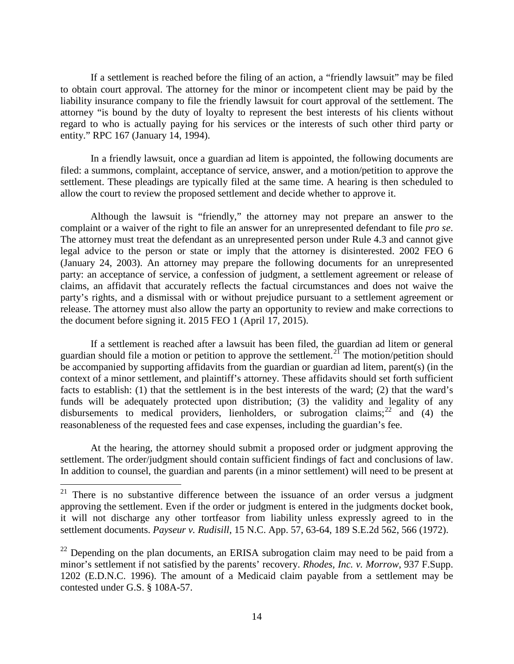If a settlement is reached before the filing of an action, a "friendly lawsuit" may be filed to obtain court approval. The attorney for the minor or incompetent client may be paid by the liability insurance company to file the friendly lawsuit for court approval of the settlement. The attorney "is bound by the duty of loyalty to represent the best interests of his clients without regard to who is actually paying for his services or the interests of such other third party or entity." RPC 167 (January 14, 1994).

In a friendly lawsuit, once a guardian ad litem is appointed, the following documents are filed: a summons, complaint, acceptance of service, answer, and a motion/petition to approve the settlement. These pleadings are typically filed at the same time. A hearing is then scheduled to allow the court to review the proposed settlement and decide whether to approve it.

Although the lawsuit is "friendly," the attorney may not prepare an answer to the complaint or a waiver of the right to file an answer for an unrepresented defendant to file *pro se*. The attorney must treat the defendant as an unrepresented person under Rule 4.3 and cannot give legal advice to the person or state or imply that the attorney is disinterested. 2002 FEO 6 (January 24, 2003). An attorney may prepare the following documents for an unrepresented party: an acceptance of service, a confession of judgment, a settlement agreement or release of claims, an affidavit that accurately reflects the factual circumstances and does not waive the party's rights, and a dismissal with or without prejudice pursuant to a settlement agreement or release. The attorney must also allow the party an opportunity to review and make corrections to the document before signing it. 2015 FEO 1 (April 17, 2015).

If a settlement is reached after a lawsuit has been filed, the guardian ad litem or general guardian should file a motion or petition to approve the settlement.<sup>[21](#page-13-0)</sup> The motion/petition should be accompanied by supporting affidavits from the guardian or guardian ad litem, parent(s) (in the context of a minor settlement, and plaintiff's attorney. These affidavits should set forth sufficient facts to establish: (1) that the settlement is in the best interests of the ward; (2) that the ward's funds will be adequately protected upon distribution; (3) the validity and legality of any disbursements to medical providers, lienholders, or subrogation claims;  $^{22}$  $^{22}$  $^{22}$  and (4) the reasonableness of the requested fees and case expenses, including the guardian's fee.

At the hearing, the attorney should submit a proposed order or judgment approving the settlement. The order/judgment should contain sufficient findings of fact and conclusions of law. In addition to counsel, the guardian and parents (in a minor settlement) will need to be present at

<span id="page-13-0"></span> $21$  There is no substantive difference between the issuance of an order versus a judgment approving the settlement. Even if the order or judgment is entered in the judgments docket book, it will not discharge any other tortfeasor from liability unless expressly agreed to in the settlement documents. *Payseur v. Rudisill*, 15 N.C. App. 57, 63-64, 189 S.E.2d 562, 566 (1972).

<span id="page-13-1"></span> $^{22}$  Depending on the plan documents, an ERISA subrogation claim may need to be paid from a minor's settlement if not satisfied by the parents' recovery. *Rhodes, Inc. v. Morrow*, 937 F.Supp. 1202 (E.D.N.C. 1996). The amount of a Medicaid claim payable from a settlement may be contested under G.S. § 108A-57.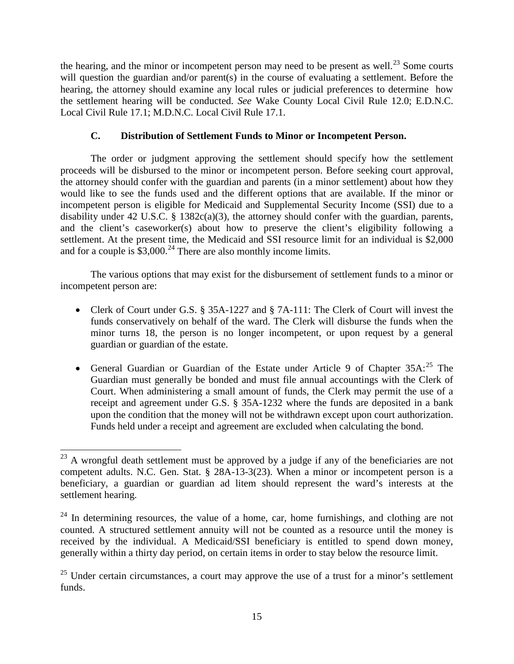the hearing, and the minor or incompetent person may need to be present as well.<sup>[23](#page-14-0)</sup> Some courts will question the guardian and/or parent(s) in the course of evaluating a settlement. Before the hearing, the attorney should examine any local rules or judicial preferences to determine how the settlement hearing will be conducted. *See* Wake County Local Civil Rule 12.0; E.D.N.C. Local Civil Rule 17.1; M.D.N.C. Local Civil Rule 17.1.

# **C. Distribution of Settlement Funds to Minor or Incompetent Person.**

The order or judgment approving the settlement should specify how the settlement proceeds will be disbursed to the minor or incompetent person. Before seeking court approval, the attorney should confer with the guardian and parents (in a minor settlement) about how they would like to see the funds used and the different options that are available. If the minor or incompetent person is eligible for Medicaid and Supplemental Security Income (SSI) due to a disability under 42 U.S.C. § 1382c(a)(3), the attorney should confer with the guardian, parents, and the client's caseworker(s) about how to preserve the client's eligibility following a settlement. At the present time, the Medicaid and SSI resource limit for an individual is \$2,000 and for a couple is  $$3,000.<sup>24</sup>$  $$3,000.<sup>24</sup>$  $$3,000.<sup>24</sup>$  There are also monthly income limits.

The various options that may exist for the disbursement of settlement funds to a minor or incompetent person are:

- Clerk of Court under G.S. § 35A-1227 and § 7A-111: The Clerk of Court will invest the funds conservatively on behalf of the ward. The Clerk will disburse the funds when the minor turns 18, the person is no longer incompetent, or upon request by a general guardian or guardian of the estate.
- General Guardian or Guardian of the Estate under Article 9 of Chapter  $35A:^{25}$  $35A:^{25}$  $35A:^{25}$  The Guardian must generally be bonded and must file annual accountings with the Clerk of Court. When administering a small amount of funds, the Clerk may permit the use of a receipt and agreement under G.S. § 35A-1232 where the funds are deposited in a bank upon the condition that the money will not be withdrawn except upon court authorization. Funds held under a receipt and agreement are excluded when calculating the bond.

<span id="page-14-0"></span> $^{23}$  A wrongful death settlement must be approved by a judge if any of the beneficiaries are not competent adults. N.C. Gen. Stat. § 28A-13-3(23). When a minor or incompetent person is a beneficiary, a guardian or guardian ad litem should represent the ward's interests at the settlement hearing.

<span id="page-14-1"></span> $24$  In determining resources, the value of a home, car, home furnishings, and clothing are not counted. A structured settlement annuity will not be counted as a resource until the money is received by the individual. A Medicaid/SSI beneficiary is entitled to spend down money, generally within a thirty day period, on certain items in order to stay below the resource limit.

<span id="page-14-2"></span> $25$  Under certain circumstances, a court may approve the use of a trust for a minor's settlement funds.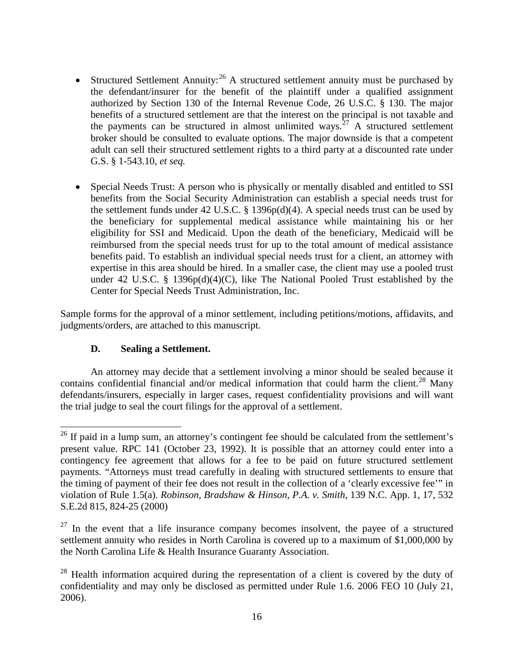- Structured Settlement Annuity:  $26$  A structured settlement annuity must be purchased by the defendant/insurer for the benefit of the plaintiff under a qualified assignment authorized by Section 130 of the Internal Revenue Code, 26 U.S.C. § 130. The major benefits of a structured settlement are that the interest on the principal is not taxable and the payments can be structured in almost unlimited ways.<sup>[27](#page-15-1)</sup> A structured settlement broker should be consulted to evaluate options. The major downside is that a competent adult can sell their structured settlement rights to a third party at a discounted rate under G.S. § 1-543.10, *et seq.*
- Special Needs Trust: A person who is physically or mentally disabled and entitled to SSI benefits from the Social Security Administration can establish a special needs trust for the settlement funds under 42 U.S.C. § 1396p(d)(4). A special needs trust can be used by the beneficiary for supplemental medical assistance while maintaining his or her eligibility for SSI and Medicaid. Upon the death of the beneficiary, Medicaid will be reimbursed from the special needs trust for up to the total amount of medical assistance benefits paid. To establish an individual special needs trust for a client, an attorney with expertise in this area should be hired. In a smaller case, the client may use a pooled trust under 42 U.S.C. § 1396 $p(d)(4)(C)$ , like The National Pooled Trust established by the Center for Special Needs Trust Administration, Inc.

Sample forms for the approval of a minor settlement, including petitions/motions, affidavits, and judgments/orders, are attached to this manuscript.

# **D. Sealing a Settlement.**

An attorney may decide that a settlement involving a minor should be sealed because it contains confidential financial and/or medical information that could harm the client.<sup>[28](#page-15-2)</sup> Many defendants/insurers, especially in larger cases, request confidentiality provisions and will want the trial judge to seal the court filings for the approval of a settlement.

<span id="page-15-0"></span><sup>&</sup>lt;sup>26</sup> If paid in a lump sum, an attorney's contingent fee should be calculated from the settlement's present value. RPC 141 (October 23, 1992). It is possible that an attorney could enter into a contingency fee agreement that allows for a fee to be paid on future structured settlement payments. "Attorneys must tread carefully in dealing with structured settlements to ensure that the timing of payment of their fee does not result in the collection of a 'clearly excessive fee'" in violation of Rule 1.5(a). *Robinson, Bradshaw & Hinson, P.A. v. Smith*, 139 N.C. App. 1, 17, 532 S.E.2d 815, 824-25 (2000)

<span id="page-15-1"></span> $27$  In the event that a life insurance company becomes insolvent, the payee of a structured settlement annuity who resides in North Carolina is covered up to a maximum of \$1,000,000 by the North Carolina Life & Health Insurance Guaranty Association.

<span id="page-15-2"></span> $28$  Health information acquired during the representation of a client is covered by the duty of confidentiality and may only be disclosed as permitted under Rule 1.6. 2006 FEO 10 (July 21, 2006).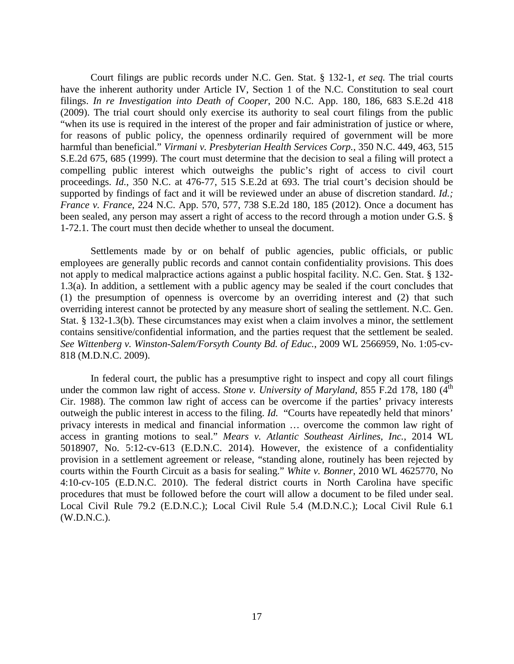Court filings are public records under N.C. Gen. Stat. § 132-1, *et seq.* The trial courts have the inherent authority under Article IV, Section 1 of the N.C. Constitution to seal court filings. *In re Investigation into Death of Cooper*, 200 N.C. App. 180, 186, 683 S.E.2d 418 (2009). The trial court should only exercise its authority to seal court filings from the public "when its use is required in the interest of the proper and fair administration of justice or where, for reasons of public policy, the openness ordinarily required of government will be more harmful than beneficial." *Virmani v. Presbyterian Health Services Corp.*, 350 N.C. 449, 463, 515 S.E.2d 675, 685 (1999). The court must determine that the decision to seal a filing will protect a compelling public interest which outweighs the public's right of access to civil court proceedings. *Id.*, 350 N.C. at 476-77, 515 S.E.2d at 693. The trial court's decision should be supported by findings of fact and it will be reviewed under an abuse of discretion standard. *Id.; France v. France*, 224 N.C. App. 570, 577, 738 S.E.2d 180, 185 (2012). Once a document has been sealed, any person may assert a right of access to the record through a motion under G.S. § 1-72.1. The court must then decide whether to unseal the document.

Settlements made by or on behalf of public agencies, public officials, or public employees are generally public records and cannot contain confidentiality provisions. This does not apply to medical malpractice actions against a public hospital facility. N.C. Gen. Stat. § 132- 1.3(a). In addition, a settlement with a public agency may be sealed if the court concludes that (1) the presumption of openness is overcome by an overriding interest and (2) that such overriding interest cannot be protected by any measure short of sealing the settlement. N.C. Gen. Stat. § 132-1.3(b). These circumstances may exist when a claim involves a minor, the settlement contains sensitive/confidential information, and the parties request that the settlement be sealed. *See Wittenberg v. Winston-Salem/Forsyth County Bd. of Educ.*, 2009 WL 2566959, No. 1:05-cv-818 (M.D.N.C. 2009).

In federal court, the public has a presumptive right to inspect and copy all court filings under the common law right of access. *Stone v. University of Maryland*, 855 F.2d 178, 180 (4<sup>th</sup>) Cir. 1988). The common law right of access can be overcome if the parties' privacy interests outweigh the public interest in access to the filing. *Id.* "Courts have repeatedly held that minors' privacy interests in medical and financial information … overcome the common law right of access in granting motions to seal." *Mears v. Atlantic Southeast Airlines, Inc.*, 2014 WL 5018907, No. 5:12-cv-613 (E.D.N.C. 2014). However, the existence of a confidentiality provision in a settlement agreement or release, "standing alone, routinely has been rejected by courts within the Fourth Circuit as a basis for sealing." *White v. Bonner*, 2010 WL 4625770, No 4:10-cv-105 (E.D.N.C. 2010). The federal district courts in North Carolina have specific procedures that must be followed before the court will allow a document to be filed under seal. Local Civil Rule 79.2 (E.D.N.C.); Local Civil Rule 5.4 (M.D.N.C.); Local Civil Rule 6.1 (W.D.N.C.).